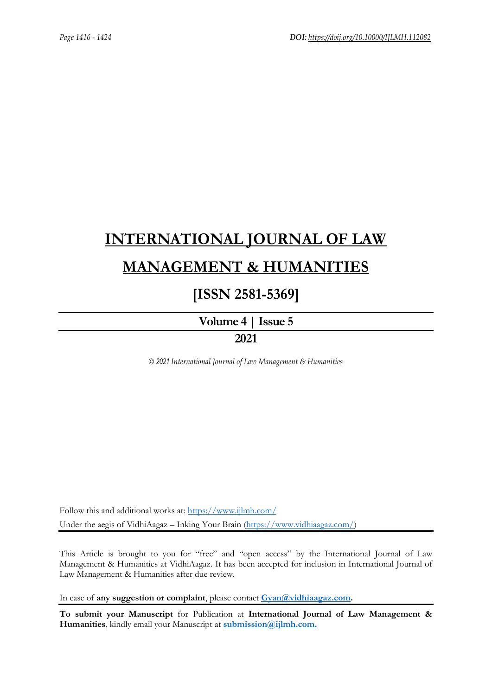# **[INTERNATIONAL JOURNAL OF LAW](https://www.ijlmh.com/)  [MANAGEMENT & HUMANITIES](https://www.ijlmh.com/)**

### **[ISSN 2581-5369]**

**[Volume 4 |](https://www.ijlmh.com/publications/volume-iv-issue-v/) Issue 5**

**2021**

*© 2021 International Journal of Law Management & Humanities*

Follow this and additional works at:<https://www.ijlmh.com/> Under the aegis of VidhiAagaz – Inking Your Brain [\(https://www.vidhiaagaz.com/\)](https://www.vidhiaagaz.com/)

This Article is brought to you for "free" and "open access" by the International Journal of Law Management & Humanities at VidhiAagaz. It has been accepted for inclusion in International Journal of Law Management & Humanities after due review.

In case of **any suggestion or complaint**, please contact **[Gyan@vidhiaagaz.com.](mailto:Gyan@vidhiaagaz.com)** 

**To submit your Manuscript** for Publication at **International Journal of Law Management & Humanities**, kindly email your Manuscript at **[submission@ijlmh.com.](mailto:submission@ijlmh.com)**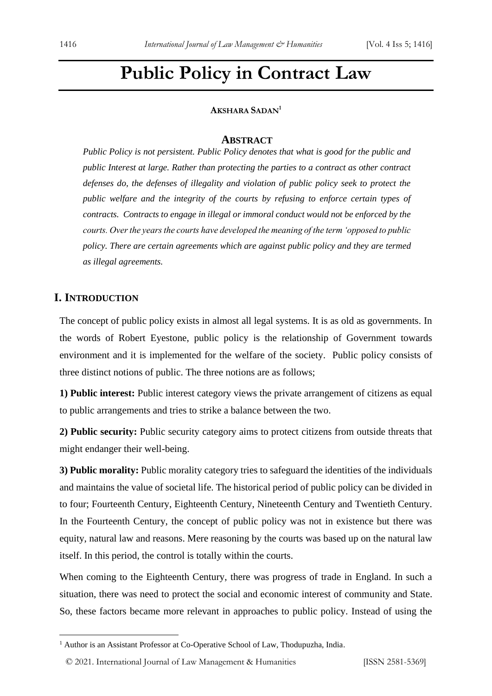## **Public Policy in Contract Law**

#### **AKSHARA SADAN<sup>1</sup>**

#### **ABSTRACT**

*Public Policy is not persistent. Public Policy denotes that what is good for the public and public Interest at large. Rather than protecting the parties to a contract as other contract defenses do, the defenses of illegality and violation of public policy seek to protect the public welfare and the integrity of the courts by refusing to enforce certain types of contracts. Contracts to engage in illegal or immoral conduct would not be enforced by the courts. Over the years the courts have developed the meaning of the term 'opposed to public policy. There are certain agreements which are against public policy and they are termed as illegal agreements.*

#### **I. INTRODUCTION**

The concept of public policy exists in almost all legal systems. It is as old as governments. In the words of Robert Eyestone, public policy is the relationship of Government towards environment and it is implemented for the welfare of the society. Public policy consists of three distinct notions of public. The three notions are as follows;

**1) Public interest:** Public interest category views the private arrangement of citizens as equal to public arrangements and tries to strike a balance between the two.

**2) Public security:** Public security category aims to protect citizens from outside threats that might endanger their well-being.

**3) Public morality:** Public morality category tries to safeguard the identities of the individuals and maintains the value of societal life. The historical period of public policy can be divided in to four; Fourteenth Century, Eighteenth Century, Nineteenth Century and Twentieth Century. In the Fourteenth Century, the concept of public policy was not in existence but there was equity, natural law and reasons. Mere reasoning by the courts was based up on the natural law itself. In this period, the control is totally within the courts.

When coming to the Eighteenth Century, there was progress of trade in England. In such a situation, there was need to protect the social and economic interest of community and State. So, these factors became more relevant in approaches to public policy. Instead of using the

<sup>&</sup>lt;sup>1</sup> Author is an Assistant Professor at Co-Operative School of Law, Thodupuzha, India.

<sup>© 2021.</sup> International Journal of [Law Management & Humanities](https://www.ijlmh.com/) [ISSN 2581-5369]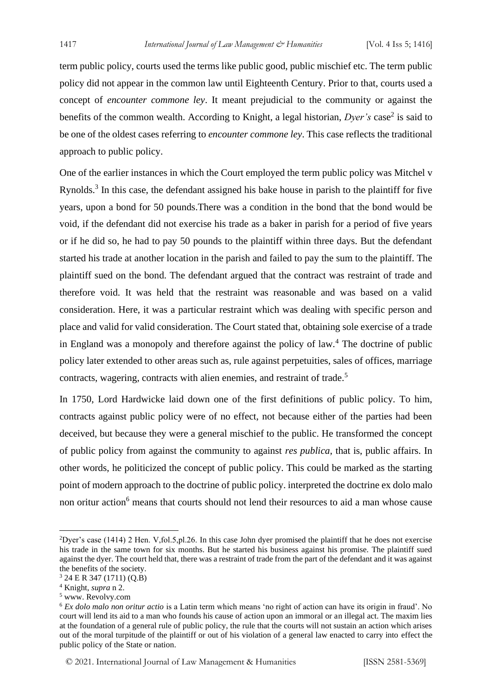term public policy, courts used the terms like public good, public mischief etc. The term public policy did not appear in the common law until Eighteenth Century. Prior to that, courts used a concept of *encounter commone ley*. It meant prejudicial to the community or against the benefits of the common wealth. According to Knight, a legal historian, *Dyer's* case<sup>2</sup> is said to be one of the oldest cases referring to *encounter commone ley*. This case reflects the traditional approach to public policy.

One of the earlier instances in which the Court employed the term public policy was Mitchel v Rynolds.<sup>3</sup> In this case, the defendant assigned his bake house in parish to the plaintiff for five years, upon a bond for 50 pounds.There was a condition in the bond that the bond would be void, if the defendant did not exercise his trade as a baker in parish for a period of five years or if he did so, he had to pay 50 pounds to the plaintiff within three days. But the defendant started his trade at another location in the parish and failed to pay the sum to the plaintiff. The plaintiff sued on the bond. The defendant argued that the contract was restraint of trade and therefore void. It was held that the restraint was reasonable and was based on a valid consideration. Here, it was a particular restraint which was dealing with specific person and place and valid for valid consideration. The Court stated that, obtaining sole exercise of a trade in England was a monopoly and therefore against the policy of law.<sup>4</sup> The doctrine of public policy later extended to other areas such as, rule against perpetuities, sales of offices, marriage contracts, wagering, contracts with alien enemies, and restraint of trade.<sup>5</sup>

In 1750, Lord Hardwicke laid down one of the first definitions of public policy. To him, contracts against public policy were of no effect, not because either of the parties had been deceived, but because they were a general mischief to the public. He transformed the concept of public policy from against the community to against *res publica*, that is, public affairs. In other words, he politicized the concept of public policy. This could be marked as the starting point of modern approach to the doctrine of public policy. interpreted the doctrine ex dolo malo non oritur action<sup>6</sup> means that courts should not lend their resources to aid a man whose cause

© 2021. International Journal of [Law Management & Humanities](https://www.ijlmh.com/) [ISSN 2581-5369]

<sup>&</sup>lt;sup>2</sup>Dyer's case (1414) 2 Hen. V,fol.5,pl.26. In this case John dyer promised the plaintiff that he does not exercise his trade in the same town for six months. But he started his business against his promise. The plaintiff sued against the dyer. The court held that, there was a restraint of trade from the part of the defendant and it was against the benefits of the society.

<sup>3</sup> 24 E R 347 (1711) (Q.B)

<sup>4</sup> Knight, *supra* n 2.

<sup>5</sup> www. Revolvy.com

<sup>6</sup> *Ex dolo malo non oritur actio* is a Latin term which means 'no right of action can have its origin in fraud'. No court will lend its aid to a man who founds his cause of action upon an immoral or an illegal act. The maxim lies at the foundation of a general rule of public policy, the rule that the courts will not sustain an action which arises out of the moral turpitude of the plaintiff or out of his violation of a general law enacted to carry into effect the public policy of the State or nation.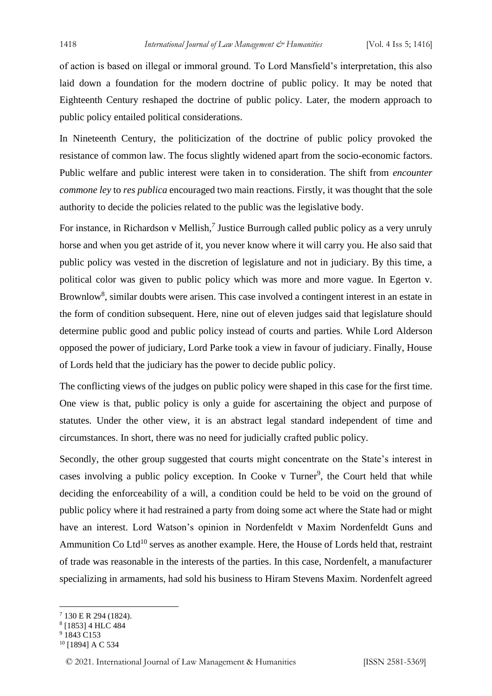of action is based on illegal or immoral ground. To Lord Mansfield's interpretation, this also laid down a foundation for the modern doctrine of public policy. It may be noted that Eighteenth Century reshaped the doctrine of public policy. Later, the modern approach to public policy entailed political considerations.

In Nineteenth Century, the politicization of the doctrine of public policy provoked the resistance of common law. The focus slightly widened apart from the socio-economic factors. Public welfare and public interest were taken in to consideration. The shift from *encounter commone ley* to *res publica* encouraged two main reactions. Firstly, it was thought that the sole authority to decide the policies related to the public was the legislative body.

For instance, in Richardson v Mellish,<sup>7</sup> Justice Burrough called public policy as a very unruly horse and when you get astride of it, you never know where it will carry you. He also said that public policy was vested in the discretion of legislature and not in judiciary. By this time, a political color was given to public policy which was more and more vague. In Egerton v. Brownlow<sup>8</sup>, similar doubts were arisen. This case involved a contingent interest in an estate in the form of condition subsequent. Here, nine out of eleven judges said that legislature should determine public good and public policy instead of courts and parties. While Lord Alderson opposed the power of judiciary, Lord Parke took a view in favour of judiciary. Finally, House of Lords held that the judiciary has the power to decide public policy.

The conflicting views of the judges on public policy were shaped in this case for the first time. One view is that, public policy is only a guide for ascertaining the object and purpose of statutes. Under the other view, it is an abstract legal standard independent of time and circumstances. In short, there was no need for judicially crafted public policy.

Secondly, the other group suggested that courts might concentrate on the State's interest in cases involving a public policy exception. In Cooke v Turner<sup>9</sup>, the Court held that while deciding the enforceability of a will, a condition could be held to be void on the ground of public policy where it had restrained a party from doing some act where the State had or might have an interest. Lord Watson's opinion in Nordenfeldt v Maxim Nordenfeldt Guns and Ammunition Co Ltd<sup>10</sup> serves as another example. Here, the House of Lords held that, restraint of trade was reasonable in the interests of the parties. In this case, Nordenfelt, a manufacturer specializing in armaments, had sold his business to Hiram Stevens Maxim. Nordenfelt agreed

<sup>7</sup> 130 E R 294 (1824).

<sup>8</sup> [1853] 4 HLC 484

<sup>&</sup>lt;sup>9</sup> 1843 C153

<sup>10</sup> [1894] A C 534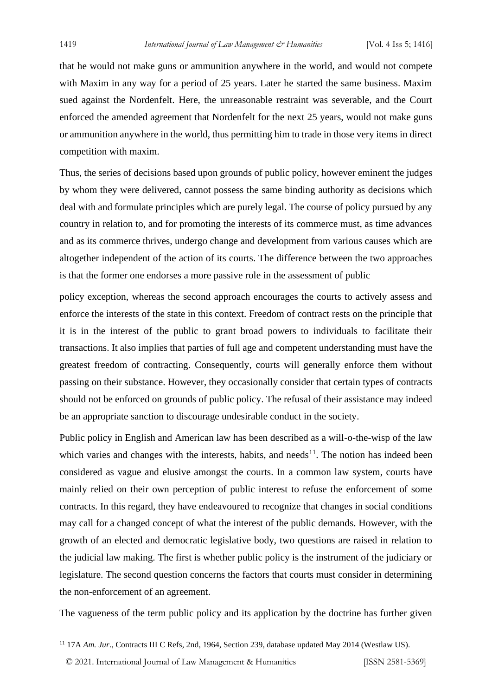that he would not make guns or ammunition anywhere in the world, and would not compete with Maxim in any way for a period of 25 years. Later he started the same business. Maxim sued against the Nordenfelt. Here, the unreasonable restraint was severable, and the Court enforced the amended agreement that Nordenfelt for the next 25 years, would not make guns or ammunition anywhere in the world, thus permitting him to trade in those very items in direct competition with maxim.

Thus, the series of decisions based upon grounds of public policy, however eminent the judges by whom they were delivered, cannot possess the same binding authority as decisions which deal with and formulate principles which are purely legal. The course of policy pursued by any country in relation to, and for promoting the interests of its commerce must, as time advances and as its commerce thrives, undergo change and development from various causes which are altogether independent of the action of its courts. The difference between the two approaches is that the former one endorses a more passive role in the assessment of public

policy exception, whereas the second approach encourages the courts to actively assess and enforce the interests of the state in this context. Freedom of contract rests on the principle that it is in the interest of the public to grant broad powers to individuals to facilitate their transactions. It also implies that parties of full age and competent understanding must have the greatest freedom of contracting. Consequently, courts will generally enforce them without passing on their substance. However, they occasionally consider that certain types of contracts should not be enforced on grounds of public policy. The refusal of their assistance may indeed be an appropriate sanction to discourage undesirable conduct in the society.

Public policy in English and American law has been described as a will-o-the-wisp of the law which varies and changes with the interests, habits, and needs<sup>11</sup>. The notion has indeed been considered as vague and elusive amongst the courts. In a common law system, courts have mainly relied on their own perception of public interest to refuse the enforcement of some contracts. In this regard, they have endeavoured to recognize that changes in social conditions may call for a changed concept of what the interest of the public demands. However, with the growth of an elected and democratic legislative body, two questions are raised in relation to the judicial law making. The first is whether public policy is the instrument of the judiciary or legislature. The second question concerns the factors that courts must consider in determining the non-enforcement of an agreement.

The vagueness of the term public policy and its application by the doctrine has further given

© 2021. International Journal of [Law Management & Humanities](https://www.ijlmh.com/) [ISSN 2581-5369]

<sup>&</sup>lt;sup>11</sup> 17A *Am. Jur.*, Contracts III C Refs, 2nd, 1964, Section 239, database updated May 2014 (Westlaw US).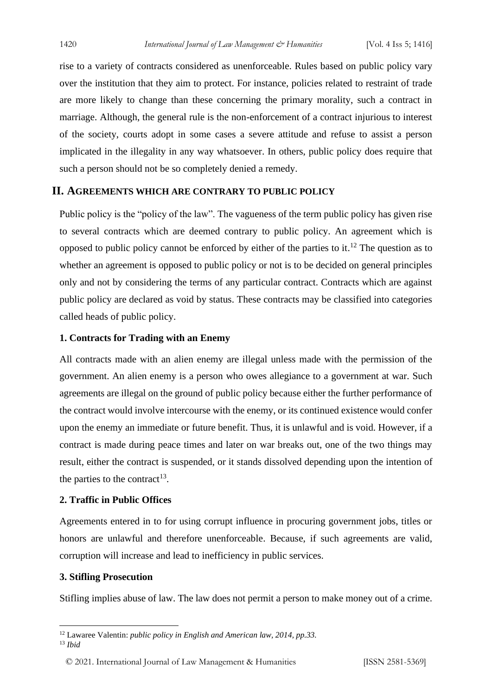rise to a variety of contracts considered as unenforceable. Rules based on public policy vary over the institution that they aim to protect. For instance, policies related to restraint of trade are more likely to change than these concerning the primary morality, such a contract in marriage. Although, the general rule is the non-enforcement of a contract injurious to interest of the society, courts adopt in some cases a severe attitude and refuse to assist a person implicated in the illegality in any way whatsoever. In others, public policy does require that such a person should not be so completely denied a remedy.

#### **II. AGREEMENTS WHICH ARE CONTRARY TO PUBLIC POLICY**

Public policy is the "policy of the law". The vagueness of the term public policy has given rise to several contracts which are deemed contrary to public policy. An agreement which is opposed to public policy cannot be enforced by either of the parties to it.<sup>12</sup> The question as to whether an agreement is opposed to public policy or not is to be decided on general principles only and not by considering the terms of any particular contract. Contracts which are against public policy are declared as void by status. These contracts may be classified into categories called heads of public policy.

#### **1. Contracts for Trading with an Enemy**

All contracts made with an alien enemy are illegal unless made with the permission of the government. An alien enemy is a person who owes allegiance to a government at war. Such agreements are illegal on the ground of public policy because either the further performance of the contract would involve intercourse with the enemy, or its continued existence would confer upon the enemy an immediate or future benefit. Thus, it is unlawful and is void. However, if a contract is made during peace times and later on war breaks out, one of the two things may result, either the contract is suspended, or it stands dissolved depending upon the intention of the parties to the contract<sup>13</sup>.

#### **2. Traffic in Public Offices**

Agreements entered in to for using corrupt influence in procuring government jobs, titles or honors are unlawful and therefore unenforceable. Because, if such agreements are valid, corruption will increase and lead to inefficiency in public services.

#### **3. Stifling Prosecution**

Stifling implies abuse of law. The law does not permit a person to make money out of a crime.

<sup>12</sup> Lawaree Valentin: *public policy in English and American law, 2014, pp.33.*

<sup>13</sup> *Ibid*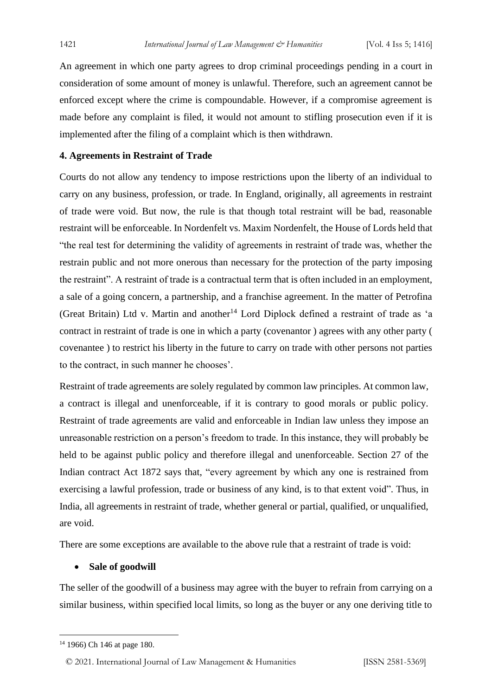An agreement in which one party agrees to drop criminal proceedings pending in a court in consideration of some amount of money is unlawful. Therefore, such an agreement cannot be enforced except where the crime is compoundable. However, if a compromise agreement is made before any complaint is filed, it would not amount to stifling prosecution even if it is implemented after the filing of a complaint which is then withdrawn.

#### **4. Agreements in Restraint of Trade**

Courts do not allow any tendency to impose restrictions upon the liberty of an individual to carry on any business, profession, or trade. In England, originally, all agreements in restraint of trade were void. But now, the rule is that though total restraint will be bad, reasonable restraint will be enforceable. In Nordenfelt vs. Maxim Nordenfelt, the House of Lords held that "the real test for determining the validity of agreements in restraint of trade was, whether the restrain public and not more onerous than necessary for the protection of the party imposing the restraint". A restraint of trade is a contractual term that is often included in an employment, a sale of a going concern, a partnership, and a franchise agreement. In the matter of Petrofina (Great Britain) Ltd v. Martin and another<sup>14</sup> Lord Diplock defined a restraint of trade as 'a contract in restraint of trade is one in which a party (covenantor ) agrees with any other party ( covenantee ) to restrict his liberty in the future to carry on trade with other persons not parties to the contract, in such manner he chooses'.

Restraint of trade agreements are solely regulated by common law principles. At common law, a contract is illegal and unenforceable, if it is contrary to good morals or public policy. Restraint of trade agreements are valid and enforceable in Indian law unless they impose an unreasonable restriction on a person's freedom to trade. In this instance, they will probably be held to be against public policy and therefore illegal and unenforceable. Section 27 of the Indian contract Act 1872 says that, "every agreement by which any one is restrained from exercising a lawful profession, trade or business of any kind, is to that extent void". Thus, in India, all agreements in restraint of trade, whether general or partial, qualified, or unqualified, are void.

There are some exceptions are available to the above rule that a restraint of trade is void:

#### • **Sale of goodwill**

The seller of the goodwill of a business may agree with the buyer to refrain from carrying on a similar business, within specified local limits, so long as the buyer or any one deriving title to

© 2021. International Journal of [Law Management & Humanities](https://www.ijlmh.com/) [ISSN 2581-5369]

<sup>14</sup> 1966) Ch 146 at page 180.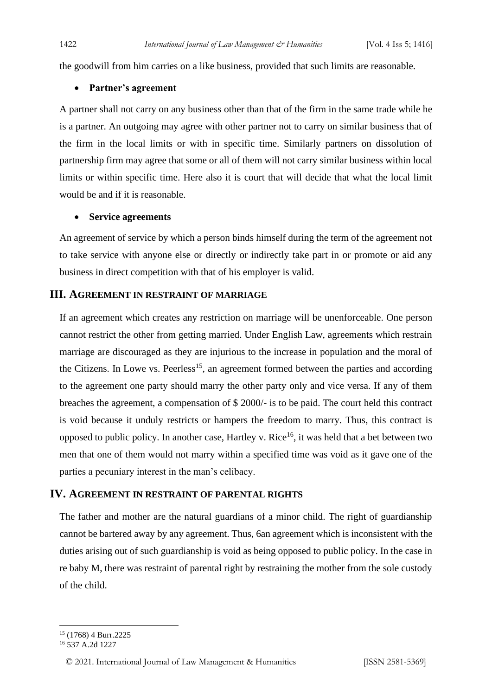the goodwill from him carries on a like business, provided that such limits are reasonable.

#### • **Partner's agreement**

A partner shall not carry on any business other than that of the firm in the same trade while he is a partner. An outgoing may agree with other partner not to carry on similar business that of the firm in the local limits or with in specific time. Similarly partners on dissolution of partnership firm may agree that some or all of them will not carry similar business within local limits or within specific time. Here also it is court that will decide that what the local limit would be and if it is reasonable.

#### • **Service agreements**

An agreement of service by which a person binds himself during the term of the agreement not to take service with anyone else or directly or indirectly take part in or promote or aid any business in direct competition with that of his employer is valid.

#### **III. AGREEMENT IN RESTRAINT OF MARRIAGE**

If an agreement which creates any restriction on marriage will be unenforceable. One person cannot restrict the other from getting married. Under English Law, agreements which restrain marriage are discouraged as they are injurious to the increase in population and the moral of the Citizens. In Lowe vs. Peerless<sup>15</sup>, an agreement formed between the parties and according to the agreement one party should marry the other party only and vice versa. If any of them breaches the agreement, a compensation of \$ 2000/- is to be paid. The court held this contract is void because it unduly restricts or hampers the freedom to marry. Thus, this contract is opposed to public policy. In another case, Hartley v. Rice<sup>16</sup>, it was held that a bet between two men that one of them would not marry within a specified time was void as it gave one of the parties a pecuniary interest in the man's celibacy.

#### **IV. AGREEMENT IN RESTRAINT OF PARENTAL RIGHTS**

The father and mother are the natural guardians of a minor child. The right of guardianship cannot be bartered away by any agreement. Thus, 6an agreement which is inconsistent with the duties arising out of such guardianship is void as being opposed to public policy. In the case in re baby M, there was restraint of parental right by restraining the mother from the sole custody of the child.

<sup>15</sup> (1768) 4 Burr.2225

<sup>16</sup> 537 A.2d 1227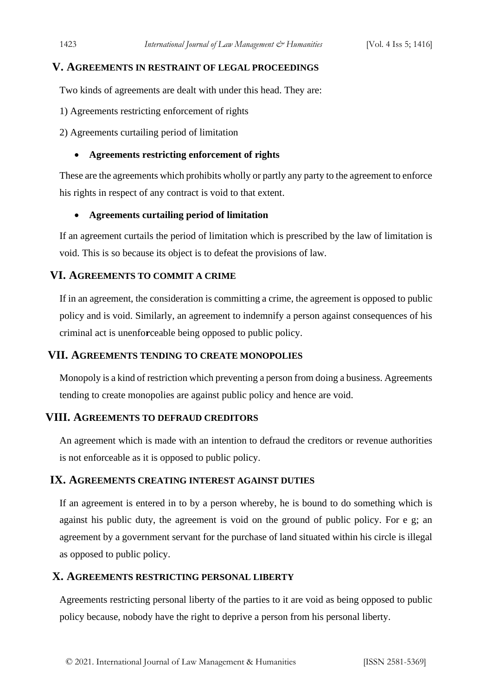#### **V. AGREEMENTS IN RESTRAINT OF LEGAL PROCEEDINGS**

Two kinds of agreements are dealt with under this head. They are:

- 1) Agreements restricting enforcement of rights
- 2) Agreements curtailing period of limitation

#### • **Agreements restricting enforcement of rights**

These are the agreements which prohibits wholly or partly any party to the agreement to enforce his rights in respect of any contract is void to that extent.

#### • **Agreements curtailing period of limitation**

If an agreement curtails the period of limitation which is prescribed by the law of limitation is void. This is so because its object is to defeat the provisions of law.

#### **VI. AGREEMENTS TO COMMIT A CRIME**

If in an agreement, the consideration is committing a crime, the agreement is opposed to public policy and is void. Similarly, an agreement to indemnify a person against consequences of his criminal act is unenfo**r**ceable being opposed to public policy.

#### **VII. AGREEMENTS TENDING TO CREATE MONOPOLIES**

Monopoly is a kind of restriction which preventing a person from doing a business. Agreements tending to create monopolies are against public policy and hence are void.

#### **VIII. AGREEMENTS TO DEFRAUD CREDITORS**

An agreement which is made with an intention to defraud the creditors or revenue authorities is not enforceable as it is opposed to public policy.

#### **IX. AGREEMENTS CREATING INTEREST AGAINST DUTIES**

If an agreement is entered in to by a person whereby, he is bound to do something which is against his public duty, the agreement is void on the ground of public policy. For e g; an agreement by a government servant for the purchase of land situated within his circle is illegal as opposed to public policy.

#### **X. AGREEMENTS RESTRICTING PERSONAL LIBERTY**

Agreements restricting personal liberty of the parties to it are void as being opposed to public policy because, nobody have the right to deprive a person from his personal liberty.